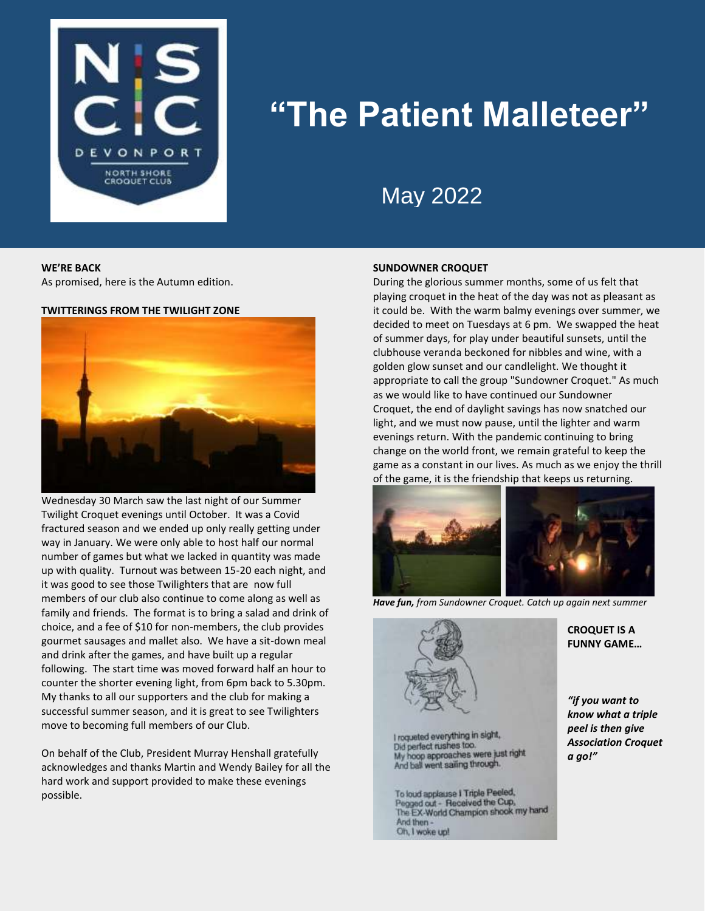

# **"The Patient Malleteer"**

## May 2022

#### **WE'RE BACK**

As promised, here is the Autumn edition.

#### **TWITTERINGS FROM THE TWILIGHT ZONE**



Wednesday 30 March saw the last night of our Summer Twilight Croquet evenings until October. It was a Covid fractured season and we ended up only really getting under way in January. We were only able to host half our normal number of games but what we lacked in quantity was made up with quality. Turnout was between 15-20 each night, and it was good to see those Twilighters that are now full members of our club also continue to come along as well as family and friends. The format is to bring a salad and drink of choice, and a fee of \$10 for non-members, the club provides gourmet sausages and mallet also. We have a sit-down meal and drink after the games, and have built up a regular following. The start time was moved forward half an hour to counter the shorter evening light, from 6pm back to 5.30pm. My thanks to all our supporters and the club for making a successful summer season, and it is great to see Twilighters move to becoming full members of our Club.

On behalf of the Club, President Murray Henshall gratefully acknowledges and thanks Martin and Wendy Bailey for all the hard work and support provided to make these evenings possible.

#### **SUNDOWNER CROQUET**

During the glorious summer months, some of us felt that playing croquet in the heat of the day was not as pleasant as it could be. With the warm balmy evenings over summer, we decided to meet on Tuesdays at 6 pm. We swapped the heat of summer days, for play under beautiful sunsets, until the clubhouse veranda beckoned for nibbles and wine, with a golden glow sunset and our candlelight. We thought it appropriate to call the group "Sundowner Croquet." As much as we would like to have continued our Sundowner Croquet, the end of daylight savings has now snatched our light, and we must now pause, until the lighter and warm evenings return. With the pandemic continuing to bring change on the world front, we remain grateful to keep the game as a constant in our lives. As much as we enjoy the thrill of the game, it is the friendship that keeps us returning.



*Have fun, from Sundowner Croquet. Catch up again next summer*



I roqueted everything in sight,<br>Did perfect rushes too. My hoop approaches were just right And ball went sailing through.

To loud applause I Triple Peeled, Pegged out - Received the Cup, The EX-World Champion shook my hand And then -Oh, I woke up!

#### **CROQUET IS A FUNNY GAME…**

*"if you want to know what a triple peel is then give Association Croquet a go!"*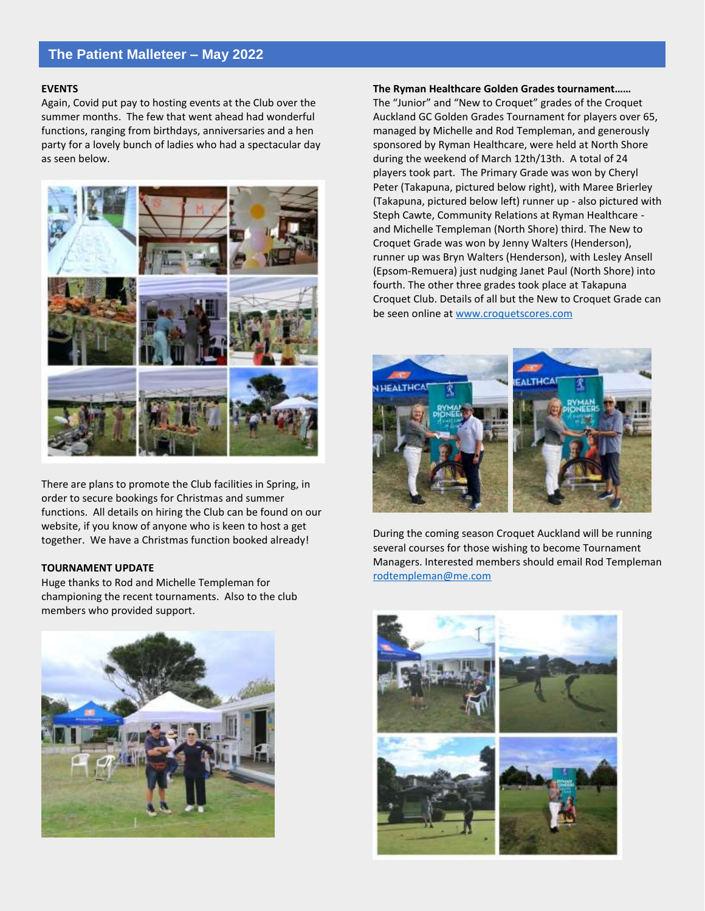## **The Patient Malleteer – May 2022**

#### **EVENTS**

Again, Covid put pay to hosting events at the Club over the summer months. The few that went ahead had wonderful functions, ranging from birthdays, anniversaries and a hen party for a lovely bunch of ladies who had a spectacular day as seen below.



There are plans to promote the Club facilities in Spring, in order to secure bookings for Christmas and summer functions. All details on hiring the Club can be found on our website, if you know of anyone who is keen to host a get together. We have a Christmas function booked already!

#### **TOURNAMENT UPDATE**

Huge thanks to Rod and Michelle Templeman for championing the recent tournaments. Also to the club members who provided support.



#### **The Ryman Healthcare Golden Grades tournament……**

The "Junior" and "New to Croquet" grades of the Croquet Auckland GC Golden Grades Tournament for players over 65, managed by Michelle and Rod Templeman, and generously sponsored by Ryman Healthcare, were held at North Shore during the weekend of March 12th/13th. A total of 24 players took part. The Primary Grade was won by Cheryl Peter (Takapuna, pictured below right), with Maree Brierley (Takapuna, pictured below left) runner up - also pictured with Steph Cawte, Community Relations at Ryman Healthcare and Michelle Templeman (North Shore) third. The New to Croquet Grade was won by Jenny Walters (Henderson), runner up was Bryn Walters (Henderson), with Lesley Ansell (Epsom-Remuera) just nudging Janet Paul (North Shore) into fourth. The other three grades took place at Takapuna Croquet Club. Details of all but the New to Croquet Grade can be seen online at [www.croquetscores.com](http://www.croquetscores.com/)



During the coming season Croquet Auckland will be running several courses for those wishing to become Tournament Managers. Interested members should email Rod Templeman [rodtempleman@me.com](mailto:rodtempleman@me.com)

![](_page_1_Picture_12.jpeg)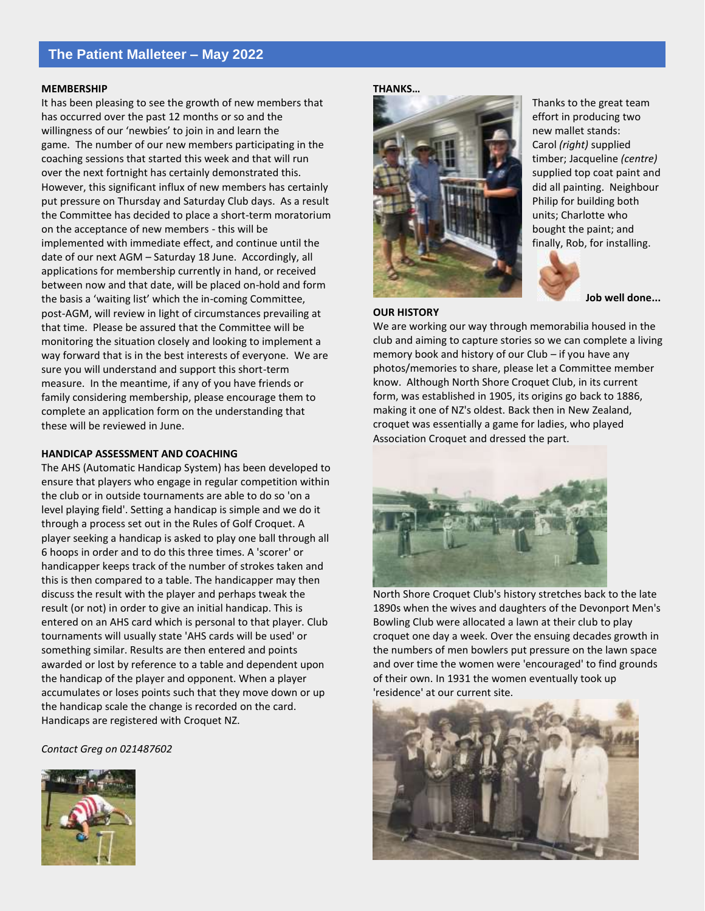### **The Patient Malleteer – May 2022**

#### **MEMBERSHIP**

It has been pleasing to see the growth of new members that has occurred over the past 12 months or so and the willingness of our 'newbies' to join in and learn the game. The number of our new members participating in the coaching sessions that started this week and that will run over the next fortnight has certainly demonstrated this. However, this significant influx of new members has certainly put pressure on Thursday and Saturday Club days. As a result the Committee has decided to place a short-term moratorium on the acceptance of new members - this will be implemented with immediate effect, and continue until the date of our next AGM – Saturday 18 June. Accordingly, all applications for membership currently in hand, or received between now and that date, will be placed on-hold and form the basis a 'waiting list' which the in-coming Committee, post-AGM, will review in light of circumstances prevailing at that time. Please be assured that the Committee will be monitoring the situation closely and looking to implement a way forward that is in the best interests of everyone. We are sure you will understand and support this short-term measure. In the meantime, if any of you have friends or family considering membership, please encourage them to complete an application form on the understanding that these will be reviewed in June.

#### **HANDICAP ASSESSMENT AND COACHING**

The AHS (Automatic Handicap System) has been developed to ensure that players who engage in regular competition within the club or in outside tournaments are able to do so 'on a level playing field'. Setting a handicap is simple and we do it through a process set out in the Rules of Golf Croquet. A player seeking a handicap is asked to play one ball through all 6 hoops in order and to do this three times. A 'scorer' or handicapper keeps track of the number of strokes taken and this is then compared to a table. The handicapper may then discuss the result with the player and perhaps tweak the result (or not) in order to give an initial handicap. This is entered on an AHS card which is personal to that player. Club tournaments will usually state 'AHS cards will be used' or something similar. Results are then entered and points awarded or lost by reference to a table and dependent upon the handicap of the player and opponent. When a player accumulates or loses points such that they move down or up the handicap scale the change is recorded on the card. Handicaps are registered with Croquet NZ.

*Contact Greg on 021487602*

![](_page_2_Picture_6.jpeg)

#### **THANKS…**

![](_page_2_Picture_8.jpeg)

**OUR HISTORY**

Thanks to the great team effort in producing two new mallet stands: Carol *(right)* supplied timber; Jacqueline *(centre)* supplied top coat paint and did all painting. Neighbour Philip for building both units; Charlotte who bought the paint; and finally, Rob, for installing.

![](_page_2_Picture_13.jpeg)

 **Job well done...**

We are working our way through memorabilia housed in the club and aiming to capture stories so we can complete a living memory book and history of our Club – if you have any photos/memories to share, please let a Committee member know. Although North Shore Croquet Club, in its current form, was established in 1905, its origins go back to 1886, making it one of NZ's oldest. Back then in New Zealand, croquet was essentially a game for ladies, who played Association Croquet and dressed the part.

![](_page_2_Picture_16.jpeg)

North Shore Croquet Club's history stretches back to the late 1890s when the wives and daughters of the Devonport Men's Bowling Club were allocated a lawn at their club to play croquet one day a week. Over the ensuing decades growth in the numbers of men bowlers put pressure on the lawn space and over time the women were 'encouraged' to find grounds of their own. In 1931 the women eventually took up 'residence' at our current site.

![](_page_2_Picture_18.jpeg)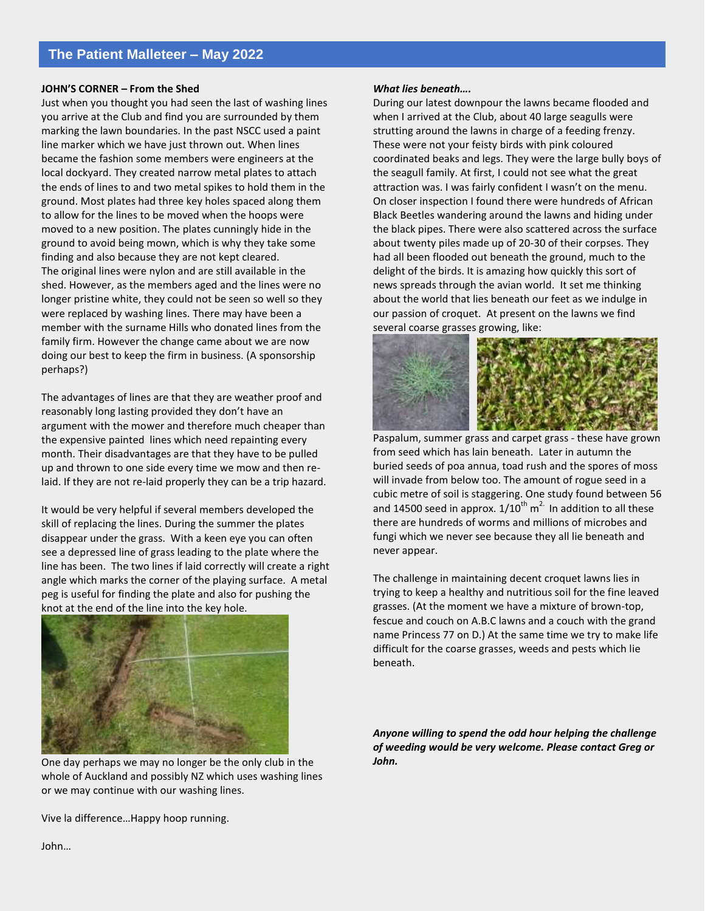#### **JOHN'S CORNER – From the Shed**

Just when you thought you had seen the last of washing lines you arrive at the Club and find you are surrounded by them marking the lawn boundaries. In the past NSCC used a paint line marker which we have just thrown out. When lines became the fashion some members were engineers at the local dockyard. They created narrow metal plates to attach the ends of lines to and two metal spikes to hold them in the ground. Most plates had three key holes spaced along them to allow for the lines to be moved when the hoops were moved to a new position. The plates cunningly hide in the ground to avoid being mown, which is why they take some finding and also because they are not kept cleared. The original lines were nylon and are still available in the shed. However, as the members aged and the lines were no longer pristine white, they could not be seen so well so they were replaced by washing lines. There may have been a member with the surname Hills who donated lines from the family firm. However the change came about we are now doing our best to keep the firm in business. (A sponsorship perhaps?)

The advantages of lines are that they are weather proof and reasonably long lasting provided they don't have an argument with the mower and therefore much cheaper than the expensive painted lines which need repainting every month. Their disadvantages are that they have to be pulled up and thrown to one side every time we mow and then relaid. If they are not re-laid properly they can be a trip hazard.

It would be very helpful if several members developed the skill of replacing the lines. During the summer the plates disappear under the grass. With a keen eye you can often see a depressed line of grass leading to the plate where the line has been. The two lines if laid correctly will create a right angle which marks the corner of the playing surface. A metal peg is useful for finding the plate and also for pushing the knot at the end of the line into the key hole.

![](_page_3_Picture_5.jpeg)

One day perhaps we may no longer be the only club in the whole of Auckland and possibly NZ which uses washing lines or we may continue with our washing lines.

Vive la difference…Happy hoop running.

#### *What lies beneath….*

During our latest downpour the lawns became flooded and when I arrived at the Club, about 40 large seagulls were strutting around the lawns in charge of a feeding frenzy. These were not your feisty birds with pink coloured coordinated beaks and legs. They were the large bully boys of the seagull family. At first, I could not see what the great attraction was. I was fairly confident I wasn't on the menu. On closer inspection I found there were hundreds of African Black Beetles wandering around the lawns and hiding under the black pipes. There were also scattered across the surface about twenty piles made up of 20-30 of their corpses. They had all been flooded out beneath the ground, much to the delight of the birds. It is amazing how quickly this sort of news spreads through the avian world. It set me thinking about the world that lies beneath our feet as we indulge in our passion of croquet. At present on the lawns we find several coarse grasses growing, like:

![](_page_3_Picture_10.jpeg)

Paspalum, summer grass and carpet grass - these have grown from seed which has lain beneath. Later in autumn the buried seeds of poa annua, toad rush and the spores of moss will invade from below too. The amount of rogue seed in a cubic metre of soil is staggering. One study found between 56 and 14500 seed in approx.  $1/10^{th}$  m<sup>2.</sup> In addition to all these there are hundreds of worms and millions of microbes and fungi which we never see because they all lie beneath and never appear.

The challenge in maintaining decent croquet lawns lies in trying to keep a healthy and nutritious soil for the fine leaved grasses. (At the moment we have a mixture of brown-top, fescue and couch on A.B.C lawns and a couch with the grand name Princess 77 on D.) At the same time we try to make life difficult for the coarse grasses, weeds and pests which lie beneath.

*Anyone willing to spend the odd hour helping the challenge of weeding would be very welcome. Please contact Greg or John.*

John…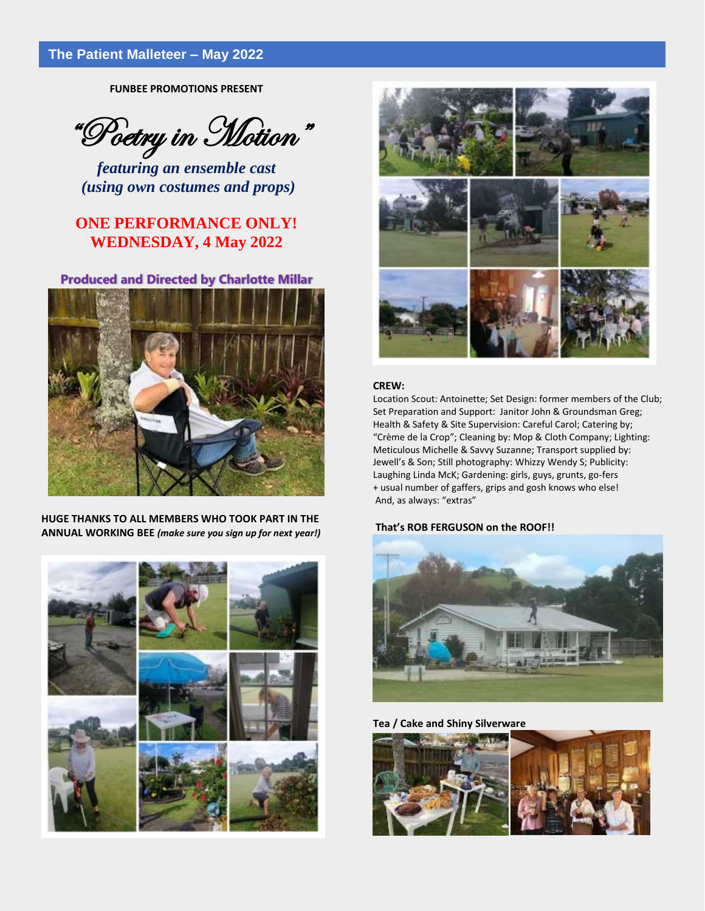**FUNBEE PROMOTIONS PRESENT**

"Poetry in Motion"

*featuring an ensemble cast (using own costumes and props)*

## **ONE PERFORMANCE ONLY! WEDNESDAY, 4 May 2022**

## **Produced and Directed by Charlotte Millar**

![](_page_4_Picture_6.jpeg)

**HUGE THANKS TO ALL MEMBERS WHO TOOK PART IN THE ANNUAL WORKING BEE** *(make sure you sign up for next year!)*

![](_page_4_Picture_8.jpeg)

![](_page_4_Picture_9.jpeg)

#### **CREW:**

Location Scout: Antoinette; Set Design: former members of the Club; Set Preparation and Support: Janitor John & Groundsman Greg; Health & Safety & Site Supervision: Careful Carol; Catering by; "Crème de la Crop"; Cleaning by: Mop & Cloth Company; Lighting: Meticulous Michelle & Savvy Suzanne; Transport supplied by: Jewell's & Son; Still photography: Whizzy Wendy S; Publicity: Laughing Linda McK; Gardening: girls, guys, grunts, go-fers + usual number of gaffers, grips and gosh knows who else! And, as always: "extras"

#### **That's ROB FERGUSON on the ROOF!!**

![](_page_4_Picture_13.jpeg)

**Tea / Cake and Shiny Silverware**

![](_page_4_Picture_15.jpeg)